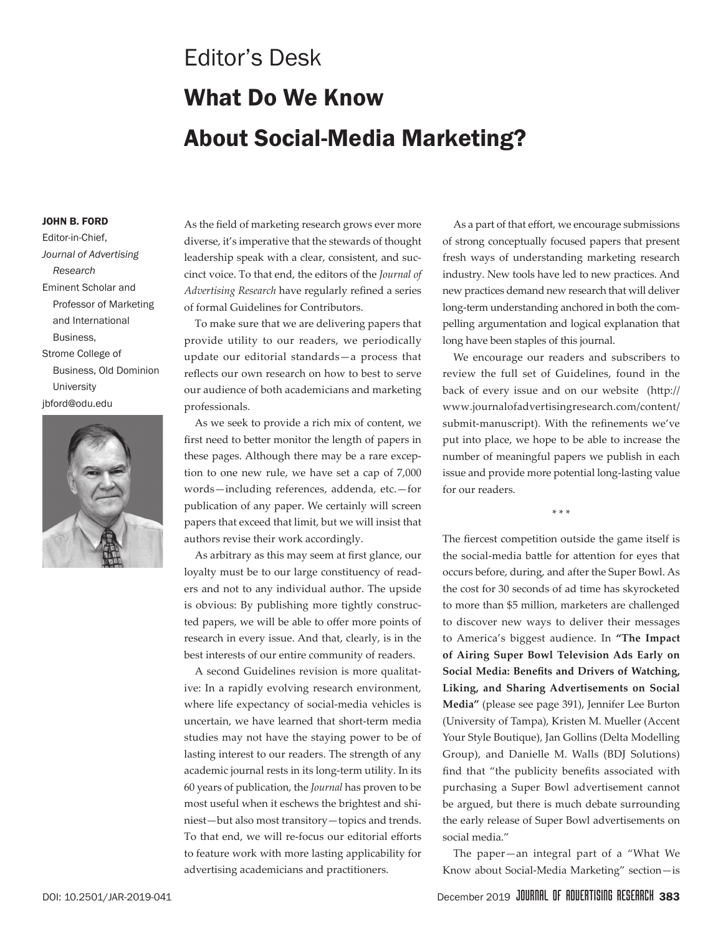## Editor's Desk What Do We Know About Social-Media Marketing?

## John B. Ford

Editor-in-Chief, *Journal of Advertising Research* Eminent Scholar and Professor of Marketing and International Business, Strome College of Business, Old Dominion **University** jbford@odu.edu



As the field of marketing research grows ever more diverse, it's imperative that the stewards of thought leadership speak with a clear, consistent, and succinct voice. To that end, the editors of the *Journal of Advertising Research* have regularly refined a series of formal Guidelines for Contributors.

To make sure that we are delivering papers that provide utility to our readers, we periodically update our editorial standards—a process that reflects our own research on how to best to serve our audience of both academicians and marketing professionals.

As we seek to provide a rich mix of content, we first need to better monitor the length of papers in these pages. Although there may be a rare exception to one new rule, we have set a cap of 7,000 words—including references, addenda, etc.—for publication of any paper. We certainly will screen papers that exceed that limit, but we will insist that authors revise their work accordingly.

As arbitrary as this may seem at first glance, our loyalty must be to our large constituency of readers and not to any individual author. The upside is obvious: By publishing more tightly constructed papers, we will be able to offer more points of research in every issue. And that, clearly, is in the best interests of our entire community of readers.

A second Guidelines revision is more qualitative: In a rapidly evolving research environment, where life expectancy of social-media vehicles is uncertain, we have learned that short-term media studies may not have the staying power to be of lasting interest to our readers. The strength of any academic journal rests in its long-term utility. In its 60 years of publication, the *Journal* has proven to be most useful when it eschews the brightest and shiniest—but also most transitory—topics and trends. To that end, we will re-focus our editorial efforts to feature work with more lasting applicability for advertising academicians and practitioners.

As a part of that effort, we encourage submissions of strong conceptually focused papers that present fresh ways of understanding marketing research industry. New tools have led to new practices. And new practices demand new research that will deliver long-term understanding anchored in both the compelling argumentation and logical explanation that long have been staples of this journal.

We encourage our readers and subscribers to review the full set of Guidelines, found in the back of every issue and on our website (http:// www.journalofadvertisingresearch.com/content/ submit-manuscript). With the refinements we've put into place, we hope to be able to increase the number of meaningful papers we publish in each issue and provide more potential long-lasting value for our readers.

\* \* \*

The fiercest competition outside the game itself is the social-media battle for attention for eyes that occurs before, during, and after the Super Bowl. As the cost for 30 seconds of ad time has skyrocketed to more than \$5 million, marketers are challenged to discover new ways to deliver their messages to America's biggest audience. In **"The Impact of Airing Super Bowl Television Ads Early on Social Media: Benefits and Drivers of Watching, Liking, and Sharing Advertisements on Social Media"** (please see page 391), Jennifer Lee Burton (University of Tampa), Kristen M. Mueller (Accent Your Style Boutique), Jan Gollins (Delta Modelling Group), and Danielle M. Walls (BDJ Solutions) find that "the publicity benefits associated with purchasing a Super Bowl advertisement cannot be argued, but there is much debate surrounding the early release of Super Bowl advertisements on social media."

The paper—an integral part of a "What We Know about Social-Media Marketing" section—is